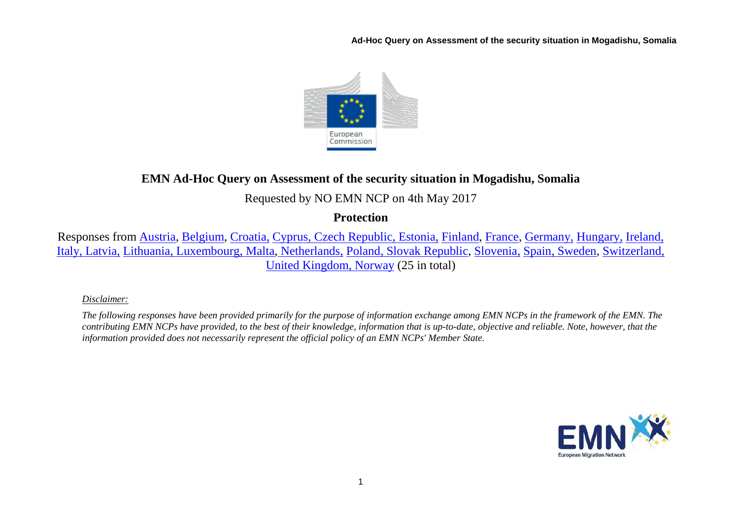**Ad-Hoc Query on Assessment of the security situation in Mogadishu, Somalia**



# **EMN Ad-Hoc Query on Assessment of the security situation in Mogadishu, Somalia**

# Requested by NO EMN NCP on 4th May 2017

## **Protection**

Responses from [Austria,](#page-1-0) [Belgium,](#page-2-0) [Croatia,](#page-2-1) [Cyprus, Czech Republic,](#page-3-0) [Estonia,](#page-3-1) [Finland,](#page-4-0) [France,](#page-4-1) [Germany,](#page-4-2) [Hungary,](#page-5-0) [Ireland,](#page-5-1)  [Italy, Latvia,](#page-6-0) [Lithuania, Luxembourg,](#page-8-0) [Malta,](#page-10-0) [Netherlands,](#page-10-1) [Poland, Slovak Republic,](#page-10-2) [Slovenia,](#page-11-0) [Spain, Sweden,](#page-12-0) [Switzerland,](#page-13-0)  [United Kingdom, Norway](#page-13-1) (25 in total)

## *Disclaimer:*

*The following responses have been provided primarily for the purpose of information exchange among EMN NCPs in the framework of the EMN. The contributing EMN NCPs have provided, to the best of their knowledge, information that is up-to-date, objective and reliable. Note, however, that the information provided does not necessarily represent the official policy of an EMN NCPs' Member State.*

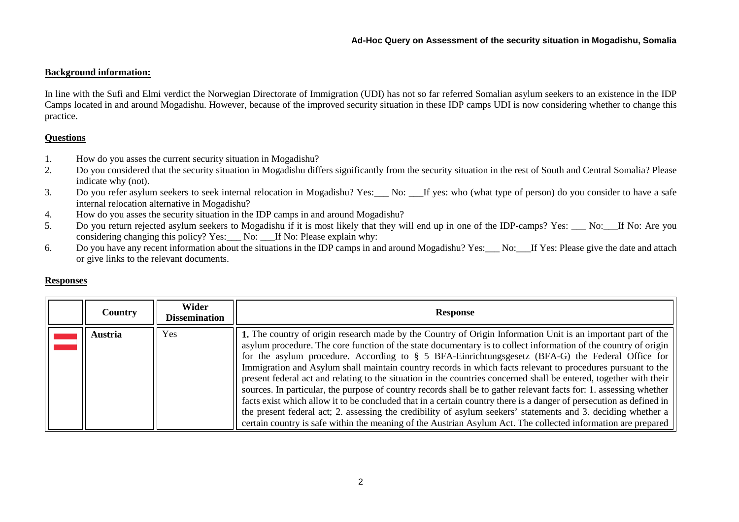## **Background information:**

In line with the Sufi and Elmi verdict the Norwegian Directorate of Immigration (UDI) has not so far referred Somalian asylum seekers to an existence in the IDP Camps located in and around Mogadishu. However, because of the improved security situation in these IDP camps UDI is now considering whether to change this practice.

## **Questions**

- 1. How do you asses the current security situation in Mogadishu?
- 2. Do you considered that the security situation in Mogadishu differs significantly from the security situation in the rest of South and Central Somalia? Please indicate why (not).
- 3. Do you refer asylum seekers to seek internal relocation in Mogadishu? Yes:\_\_\_ No: \_\_\_If yes: who (what type of person) do you consider to have a safe internal relocation alternative in Mogadishu?
- 4. How do you asses the security situation in the IDP camps in and around Mogadishu?
- 5. Do you return rejected asylum seekers to Mogadishu if it is most likely that they will end up in one of the IDP-camps? Yes: No: If No: Are you considering changing this policy? Yes: No: If No: Please explain why:
- 6. Do you have any recent information about the situations in the IDP camps in and around Mogadishu? Yes: No: If Yes: Please give the date and attach or give links to the relevant documents.

#### **Responses**

<span id="page-1-0"></span>

| <b>Country</b> | Wider<br><b>Dissemination</b> | <b>Response</b>                                                                                                                                                                                                                                                                                                                                                                                                                                                                                                                                                                                                                                                                                                                                                                                                                                                                                                                                                                                                                                         |
|----------------|-------------------------------|---------------------------------------------------------------------------------------------------------------------------------------------------------------------------------------------------------------------------------------------------------------------------------------------------------------------------------------------------------------------------------------------------------------------------------------------------------------------------------------------------------------------------------------------------------------------------------------------------------------------------------------------------------------------------------------------------------------------------------------------------------------------------------------------------------------------------------------------------------------------------------------------------------------------------------------------------------------------------------------------------------------------------------------------------------|
| <b>Austria</b> | Yes                           | 1. The country of origin research made by the Country of Origin Information Unit is an important part of the<br>asylum procedure. The core function of the state documentary is to collect information of the country of origin<br>for the asylum procedure. According to § 5 BFA-Einrichtungsgesetz (BFA-G) the Federal Office for<br>Immigration and Asylum shall maintain country records in which facts relevant to procedures pursuant to the<br>present federal act and relating to the situation in the countries concerned shall be entered, together with their<br>sources. In particular, the purpose of country records shall be to gather relevant facts for: 1. assessing whether<br>facts exist which allow it to be concluded that in a certain country there is a danger of persecution as defined in<br>the present federal act; 2. assessing the credibility of asylum seekers' statements and 3. deciding whether a<br>certain country is safe within the meaning of the Austrian Asylum Act. The collected information are prepared |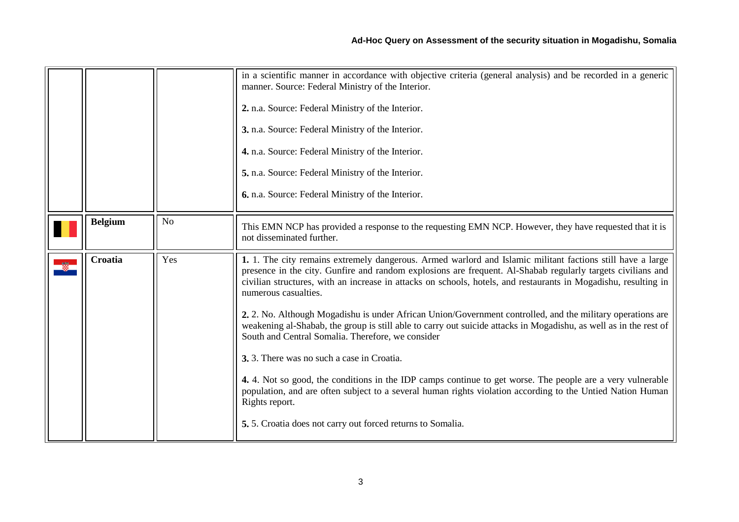<span id="page-2-1"></span><span id="page-2-0"></span>

|                |     | in a scientific manner in accordance with objective criteria (general analysis) and be recorded in a generic<br>manner. Source: Federal Ministry of the Interior.<br>2. n.a. Source: Federal Ministry of the Interior.<br>3. n.a. Source: Federal Ministry of the Interior.<br>4. n.a. Source: Federal Ministry of the Interior.<br>5. n.a. Source: Federal Ministry of the Interior.<br>6. n.a. Source: Federal Ministry of the Interior.                                                                                                                                                                                                                                                                                                                                                                                                                                                                                                                                                                             |
|----------------|-----|------------------------------------------------------------------------------------------------------------------------------------------------------------------------------------------------------------------------------------------------------------------------------------------------------------------------------------------------------------------------------------------------------------------------------------------------------------------------------------------------------------------------------------------------------------------------------------------------------------------------------------------------------------------------------------------------------------------------------------------------------------------------------------------------------------------------------------------------------------------------------------------------------------------------------------------------------------------------------------------------------------------------|
| <b>Belgium</b> | No  | This EMN NCP has provided a response to the requesting EMN NCP. However, they have requested that it is<br>not disseminated further.                                                                                                                                                                                                                                                                                                                                                                                                                                                                                                                                                                                                                                                                                                                                                                                                                                                                                   |
| Croatia        | Yes | 1. 1. The city remains extremely dangerous. Armed warlord and Islamic militant factions still have a large<br>presence in the city. Gunfire and random explosions are frequent. Al-Shabab regularly targets civilians and<br>civilian structures, with an increase in attacks on schools, hotels, and restaurants in Mogadishu, resulting in<br>numerous casualties.<br>2. 2. No. Although Mogadishu is under African Union/Government controlled, and the military operations are<br>weakening al-Shabab, the group is still able to carry out suicide attacks in Mogadishu, as well as in the rest of<br>South and Central Somalia. Therefore, we consider<br>3. 3. There was no such a case in Croatia.<br>4. 4. Not so good, the conditions in the IDP camps continue to get worse. The people are a very vulnerable<br>population, and are often subject to a several human rights violation according to the Untied Nation Human<br>Rights report.<br>5.5. Croatia does not carry out forced returns to Somalia. |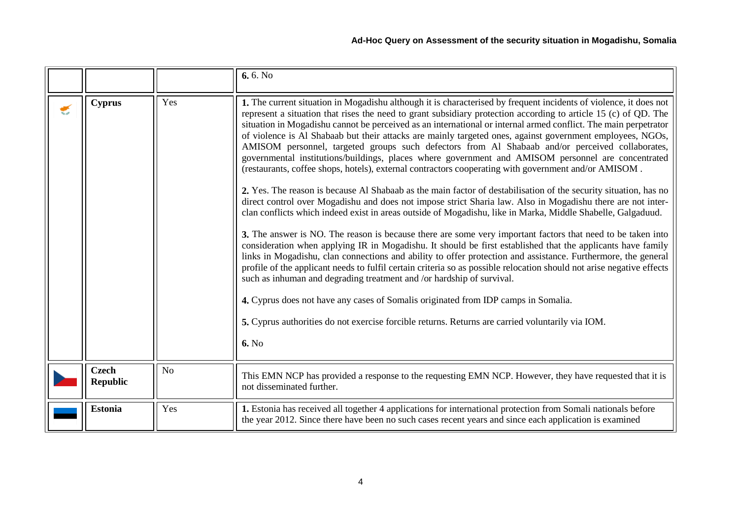<span id="page-3-1"></span><span id="page-3-0"></span>

|   |                                 |                | 6.6. No                                                                                                                                                                                                                                                                                                                                                                                                                                                                                                                                                                                                                                                                                                                                                                                                                                                                                                                                                                                                                                                                                                                                                                                                                                                                                                                                                                                                                                                                                                                                                                                                                                                                                                                                                                                                                                                                                            |
|---|---------------------------------|----------------|----------------------------------------------------------------------------------------------------------------------------------------------------------------------------------------------------------------------------------------------------------------------------------------------------------------------------------------------------------------------------------------------------------------------------------------------------------------------------------------------------------------------------------------------------------------------------------------------------------------------------------------------------------------------------------------------------------------------------------------------------------------------------------------------------------------------------------------------------------------------------------------------------------------------------------------------------------------------------------------------------------------------------------------------------------------------------------------------------------------------------------------------------------------------------------------------------------------------------------------------------------------------------------------------------------------------------------------------------------------------------------------------------------------------------------------------------------------------------------------------------------------------------------------------------------------------------------------------------------------------------------------------------------------------------------------------------------------------------------------------------------------------------------------------------------------------------------------------------------------------------------------------------|
| € | <b>Cyprus</b>                   | Yes            | 1. The current situation in Mogadishu although it is characterised by frequent incidents of violence, it does not<br>represent a situation that rises the need to grant subsidiary protection according to article 15 (c) of QD. The<br>situation in Mogadishu cannot be perceived as an international or internal armed conflict. The main perpetrator<br>of violence is Al Shabaab but their attacks are mainly targeted ones, against government employees, NGOs,<br>AMISOM personnel, targeted groups such defectors from Al Shabaab and/or perceived collaborates,<br>governmental institutions/buildings, places where government and AMISOM personnel are concentrated<br>(restaurants, coffee shops, hotels), external contractors cooperating with government and/or AMISOM.<br>2. Yes. The reason is because Al Shabaab as the main factor of destabilisation of the security situation, has no<br>direct control over Mogadishu and does not impose strict Sharia law. Also in Mogadishu there are not inter-<br>clan conflicts which indeed exist in areas outside of Mogadishu, like in Marka, Middle Shabelle, Galgaduud.<br>3. The answer is NO. The reason is because there are some very important factors that need to be taken into<br>consideration when applying IR in Mogadishu. It should be first established that the applicants have family<br>links in Mogadishu, clan connections and ability to offer protection and assistance. Furthermore, the general<br>profile of the applicant needs to fulfil certain criteria so as possible relocation should not arise negative effects<br>such as inhuman and degrading treatment and /or hardship of survival.<br>4. Cyprus does not have any cases of Somalis originated from IDP camps in Somalia.<br>5. Cyprus authorities do not exercise forcible returns. Returns are carried voluntarily via IOM.<br><b>6.</b> No |
|   | <b>Czech</b><br><b>Republic</b> | N <sub>o</sub> | This EMN NCP has provided a response to the requesting EMN NCP. However, they have requested that it is<br>not disseminated further.                                                                                                                                                                                                                                                                                                                                                                                                                                                                                                                                                                                                                                                                                                                                                                                                                                                                                                                                                                                                                                                                                                                                                                                                                                                                                                                                                                                                                                                                                                                                                                                                                                                                                                                                                               |
|   | <b>Estonia</b>                  | Yes            | 1. Estonia has received all together 4 applications for international protection from Somali nationals before<br>the year 2012. Since there have been no such cases recent years and since each application is examined                                                                                                                                                                                                                                                                                                                                                                                                                                                                                                                                                                                                                                                                                                                                                                                                                                                                                                                                                                                                                                                                                                                                                                                                                                                                                                                                                                                                                                                                                                                                                                                                                                                                            |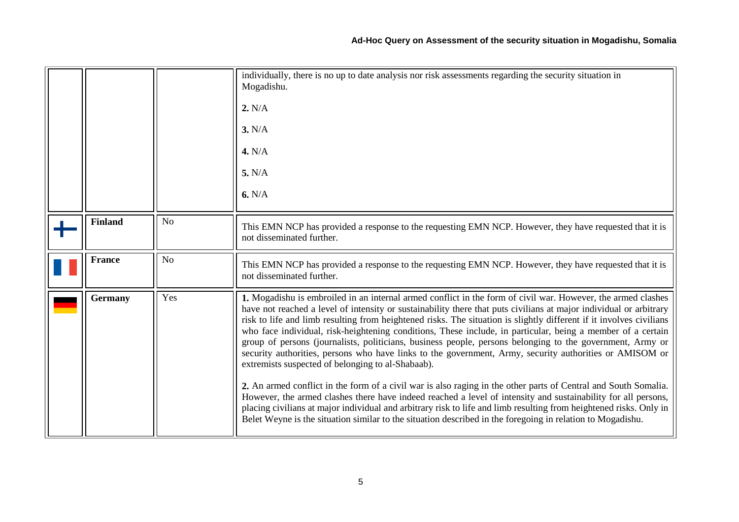<span id="page-4-2"></span><span id="page-4-1"></span><span id="page-4-0"></span>

|                |                | individually, there is no up to date analysis nor risk assessments regarding the security situation in<br>Mogadishu.<br>2. N/A<br>3. N/A<br>4. N/A<br>5. N/A<br>6. N/A                                                                                                                                                                                                                                                                                                                                                                                                                                                                                                                                                                                                                                                                                                                                                                                                                                                                                                                                                                                                                                                        |
|----------------|----------------|-------------------------------------------------------------------------------------------------------------------------------------------------------------------------------------------------------------------------------------------------------------------------------------------------------------------------------------------------------------------------------------------------------------------------------------------------------------------------------------------------------------------------------------------------------------------------------------------------------------------------------------------------------------------------------------------------------------------------------------------------------------------------------------------------------------------------------------------------------------------------------------------------------------------------------------------------------------------------------------------------------------------------------------------------------------------------------------------------------------------------------------------------------------------------------------------------------------------------------|
| <b>Finland</b> | N <sub>o</sub> | This EMN NCP has provided a response to the requesting EMN NCP. However, they have requested that it is<br>not disseminated further.                                                                                                                                                                                                                                                                                                                                                                                                                                                                                                                                                                                                                                                                                                                                                                                                                                                                                                                                                                                                                                                                                          |
| <b>France</b>  | N <sub>o</sub> | This EMN NCP has provided a response to the requesting EMN NCP. However, they have requested that it is<br>not disseminated further.                                                                                                                                                                                                                                                                                                                                                                                                                                                                                                                                                                                                                                                                                                                                                                                                                                                                                                                                                                                                                                                                                          |
| <b>Germany</b> | Yes            | 1. Mogadishu is embroiled in an internal armed conflict in the form of civil war. However, the armed clashes<br>have not reached a level of intensity or sustainability there that puts civilians at major individual or arbitrary<br>risk to life and limb resulting from heightened risks. The situation is slightly different if it involves civilians<br>who face individual, risk-heightening conditions, These include, in particular, being a member of a certain<br>group of persons (journalists, politicians, business people, persons belonging to the government, Army or<br>security authorities, persons who have links to the government, Army, security authorities or AMISOM or<br>extremists suspected of belonging to al-Shabaab).<br>2. An armed conflict in the form of a civil war is also raging in the other parts of Central and South Somalia.<br>However, the armed clashes there have indeed reached a level of intensity and sustainability for all persons,<br>placing civilians at major individual and arbitrary risk to life and limb resulting from heightened risks. Only in<br>Belet Weyne is the situation similar to the situation described in the foregoing in relation to Mogadishu. |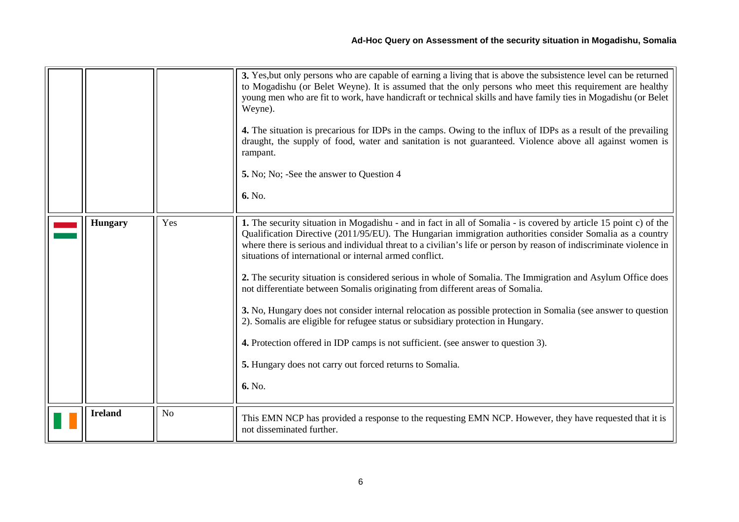<span id="page-5-1"></span><span id="page-5-0"></span>

|                |                | 3. Yes, but only persons who are capable of earning a living that is above the subsistence level can be returned<br>to Mogadishu (or Belet Weyne). It is assumed that the only persons who meet this requirement are healthy<br>young men who are fit to work, have handicraft or technical skills and have family ties in Mogadishu (or Belet<br>Weyne).<br>4. The situation is precarious for IDPs in the camps. Owing to the influx of IDPs as a result of the prevailing<br>draught, the supply of food, water and sanitation is not guaranteed. Violence above all against women is<br>rampant.<br>5. No; No; -See the answer to Question 4<br>6. No.                                                                                                                                                                                                                                                                                                                         |
|----------------|----------------|------------------------------------------------------------------------------------------------------------------------------------------------------------------------------------------------------------------------------------------------------------------------------------------------------------------------------------------------------------------------------------------------------------------------------------------------------------------------------------------------------------------------------------------------------------------------------------------------------------------------------------------------------------------------------------------------------------------------------------------------------------------------------------------------------------------------------------------------------------------------------------------------------------------------------------------------------------------------------------|
| <b>Hungary</b> | Yes            | 1. The security situation in Mogadishu - and in fact in all of Somalia - is covered by article 15 point c) of the<br>Qualification Directive (2011/95/EU). The Hungarian immigration authorities consider Somalia as a country<br>where there is serious and individual threat to a civilian's life or person by reason of indiscriminate violence in<br>situations of international or internal armed conflict.<br>2. The security situation is considered serious in whole of Somalia. The Immigration and Asylum Office does<br>not differentiate between Somalis originating from different areas of Somalia.<br>3. No, Hungary does not consider internal relocation as possible protection in Somalia (see answer to question<br>2). Somalis are eligible for refugee status or subsidiary protection in Hungary.<br>4. Protection offered in IDP camps is not sufficient. (see answer to question 3).<br>5. Hungary does not carry out forced returns to Somalia.<br>6. No. |
| <b>Ireland</b> | N <sub>o</sub> | This EMN NCP has provided a response to the requesting EMN NCP. However, they have requested that it is<br>not disseminated further.                                                                                                                                                                                                                                                                                                                                                                                                                                                                                                                                                                                                                                                                                                                                                                                                                                               |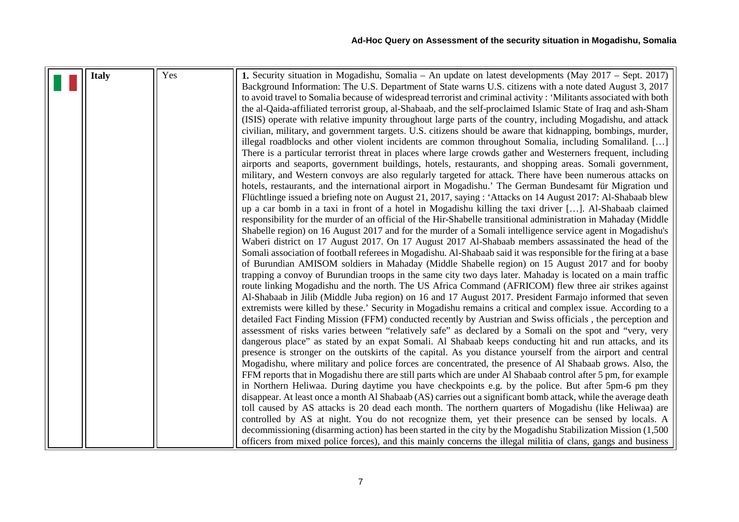<span id="page-6-0"></span>

| <b>Italy</b> | Yes | 1. Security situation in Mogadishu, Somalia – An update on latest developments (May 2017 – Sept. 2017)            |
|--------------|-----|-------------------------------------------------------------------------------------------------------------------|
|              |     | Background Information: The U.S. Department of State warns U.S. citizens with a note dated August 3, 2017         |
|              |     | to avoid travel to Somalia because of widespread terrorist and criminal activity: 'Militants associated with both |
|              |     | the al-Qaida-affiliated terrorist group, al-Shabaab, and the self-proclaimed Islamic State of Iraq and ash-Sham   |
|              |     | (ISIS) operate with relative impunity throughout large parts of the country, including Mogadishu, and attack      |
|              |     | civilian, military, and government targets. U.S. citizens should be aware that kidnapping, bombings, murder,      |
|              |     | illegal roadblocks and other violent incidents are common throughout Somalia, including Somaliland. []            |
|              |     | There is a particular terrorist threat in places where large crowds gather and Westerners frequent, including     |
|              |     | airports and seaports, government buildings, hotels, restaurants, and shopping areas. Somali government,          |
|              |     | military, and Western convoys are also regularly targeted for attack. There have been numerous attacks on         |
|              |     | hotels, restaurants, and the international airport in Mogadishu.' The German Bundesamt für Migration und          |
|              |     | Flüchtlinge issued a briefing note on August 21, 2017, saying : 'Attacks on 14 August 2017: Al-Shabaab blew       |
|              |     | up a car bomb in a taxi in front of a hotel in Mogadishu killing the taxi driver []. Al-Shabaab claimed           |
|              |     | responsibility for the murder of an official of the Hir-Shabelle transitional administration in Mahaday (Middle   |
|              |     | Shabelle region) on 16 August 2017 and for the murder of a Somali intelligence service agent in Mogadishu's       |
|              |     | Waberi district on 17 August 2017. On 17 August 2017 Al-Shabaab members assassinated the head of the              |
|              |     | Somali association of football referees in Mogadishu. Al-Shabaab said it was responsible for the firing at a base |
|              |     | of Burundian AMISOM soldiers in Mahaday (Middle Shabelle region) on 15 August 2017 and for booby                  |
|              |     | trapping a convoy of Burundian troops in the same city two days later. Mahaday is located on a main traffic       |
|              |     | route linking Mogadishu and the north. The US Africa Command (AFRICOM) flew three air strikes against             |
|              |     | Al-Shabaab in Jilib (Middle Juba region) on 16 and 17 August 2017. President Farmajo informed that seven          |
|              |     | extremists were killed by these.' Security in Mogadishu remains a critical and complex issue. According to a      |
|              |     | detailed Fact Finding Mission (FFM) conducted recently by Austrian and Swiss officials, the perception and        |
|              |     | assessment of risks varies between "relatively safe" as declared by a Somali on the spot and "very, very          |
|              |     | dangerous place" as stated by an expat Somali. Al Shabaab keeps conducting hit and run attacks, and its           |
|              |     | presence is stronger on the outskirts of the capital. As you distance yourself from the airport and central       |
|              |     | Mogadishu, where military and police forces are concentrated, the presence of Al Shabaab grows. Also, the         |
|              |     | FFM reports that in Mogadishu there are still parts which are under Al Shabaab control after 5 pm, for example    |
|              |     | in Northern Heliwaa. During daytime you have checkpoints e.g. by the police. But after 5pm-6 pm they              |
|              |     | disappear. At least once a month Al Shabaab (AS) carries out a significant bomb attack, while the average death   |
|              |     | toll caused by AS attacks is 20 dead each month. The northern quarters of Mogadishu (like Heliwaa) are            |
|              |     | controlled by AS at night. You do not recognize them, yet their presence can be sensed by locals. A               |
|              |     | decommissioning (disarming action) has been started in the city by the Mogadishu Stabilization Mission (1,500)    |
|              |     | officers from mixed police forces), and this mainly concerns the illegal militia of clans, gangs and business     |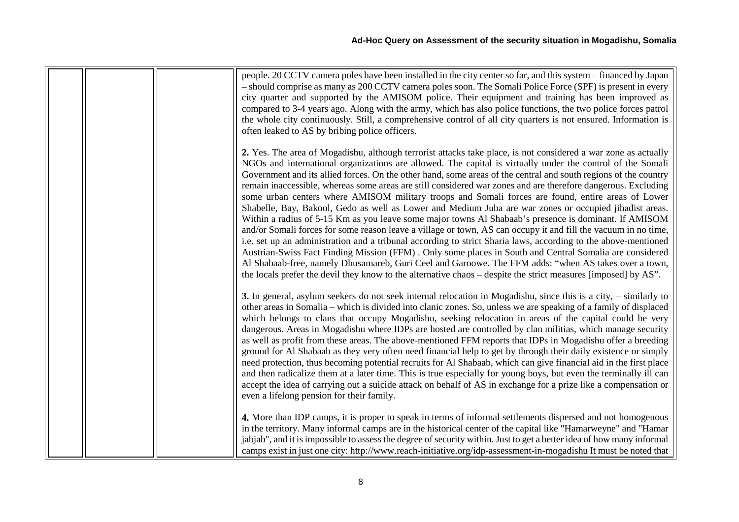| people. 20 CCTV camera poles have been installed in the city center so far, and this system – financed by Japan<br>- should comprise as many as 200 CCTV camera poles soon. The Somali Police Force (SPF) is present in every<br>city quarter and supported by the AMISOM police. Their equipment and training has been improved as<br>compared to 3-4 years ago. Along with the army, which has also police functions, the two police forces patrol<br>the whole city continuously. Still, a comprehensive control of all city quarters is not ensured. Information is<br>often leaked to AS by bribing police officers.                                                                                                                                                                                                                                                                                                                                                                                                                                                                                                                                                                                                                                                                                                                                          |
|--------------------------------------------------------------------------------------------------------------------------------------------------------------------------------------------------------------------------------------------------------------------------------------------------------------------------------------------------------------------------------------------------------------------------------------------------------------------------------------------------------------------------------------------------------------------------------------------------------------------------------------------------------------------------------------------------------------------------------------------------------------------------------------------------------------------------------------------------------------------------------------------------------------------------------------------------------------------------------------------------------------------------------------------------------------------------------------------------------------------------------------------------------------------------------------------------------------------------------------------------------------------------------------------------------------------------------------------------------------------|
| 2. Yes. The area of Mogadishu, although terrorist attacks take place, is not considered a war zone as actually<br>NGOs and international organizations are allowed. The capital is virtually under the control of the Somali<br>Government and its allied forces. On the other hand, some areas of the central and south regions of the country<br>remain inaccessible, whereas some areas are still considered war zones and are therefore dangerous. Excluding<br>some urban centers where AMISOM military troops and Somali forces are found, entire areas of Lower<br>Shabelle, Bay, Bakool, Gedo as well as Lower and Medium Juba are war zones or occupied jihadist areas.<br>Within a radius of 5-15 Km as you leave some major towns Al Shabaab's presence is dominant. If AMISOM<br>and/or Somali forces for some reason leave a village or town, AS can occupy it and fill the vacuum in no time,<br>i.e. set up an administration and a tribunal according to strict Sharia laws, according to the above-mentioned<br>Austrian-Swiss Fact Finding Mission (FFM). Only some places in South and Central Somalia are considered<br>Al Shabaab-free, namely Dhusamareb, Guri Ceel and Garoowe. The FFM adds: "when AS takes over a town,<br>the locals prefer the devil they know to the alternative chaos – despite the strict measures [imposed] by AS". |
| 3. In general, asylum seekers do not seek internal relocation in Mogadishu, since this is a city, – similarly to<br>other areas in Somalia – which is divided into clanic zones. So, unless we are speaking of a family of displaced<br>which belongs to clans that occupy Mogadishu, seeking relocation in areas of the capital could be very<br>dangerous. Areas in Mogadishu where IDPs are hosted are controlled by clan militias, which manage security<br>as well as profit from these areas. The above-mentioned FFM reports that IDPs in Mogadishu offer a breeding<br>ground for Al Shabaab as they very often need financial help to get by through their daily existence or simply<br>need protection, thus becoming potential recruits for Al Shabaab, which can give financial aid in the first place<br>and then radicalize them at a later time. This is true especially for young boys, but even the terminally ill can<br>accept the idea of carrying out a suicide attack on behalf of AS in exchange for a prize like a compensation or<br>even a lifelong pension for their family.                                                                                                                                                                                                                                                            |
| 4. More than IDP camps, it is proper to speak in terms of informal settlements dispersed and not homogenous<br>in the territory. Many informal camps are in the historical center of the capital like "Hamarweyne" and "Hamar<br>jabjab", and it is impossible to assess the degree of security within. Just to get a better idea of how many informal<br>camps exist in just one city: http://www.reach-initiative.org/idp-assessment-in-mogadishu It must be noted that                                                                                                                                                                                                                                                                                                                                                                                                                                                                                                                                                                                                                                                                                                                                                                                                                                                                                          |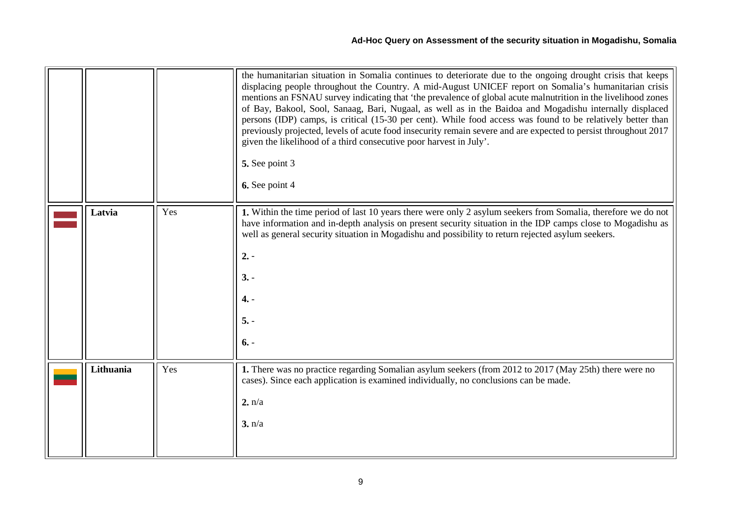<span id="page-8-0"></span>

|           |     | the humanitarian situation in Somalia continues to deteriorate due to the ongoing drought crisis that keeps<br>displacing people throughout the Country. A mid-August UNICEF report on Somalia's humanitarian crisis<br>mentions an FSNAU survey indicating that 'the prevalence of global acute malnutrition in the livelihood zones<br>of Bay, Bakool, Sool, Sanaag, Bari, Nugaal, as well as in the Baidoa and Mogadishu internally displaced<br>persons (IDP) camps, is critical (15-30 per cent). While food access was found to be relatively better than<br>previously projected, levels of acute food insecurity remain severe and are expected to persist throughout 2017<br>given the likelihood of a third consecutive poor harvest in July'.<br>5. See point 3<br>6. See point 4 |
|-----------|-----|----------------------------------------------------------------------------------------------------------------------------------------------------------------------------------------------------------------------------------------------------------------------------------------------------------------------------------------------------------------------------------------------------------------------------------------------------------------------------------------------------------------------------------------------------------------------------------------------------------------------------------------------------------------------------------------------------------------------------------------------------------------------------------------------|
| Latvia    | Yes | 1. Within the time period of last 10 years there were only 2 asylum seekers from Somalia, therefore we do not<br>have information and in-depth analysis on present security situation in the IDP camps close to Mogadishu as<br>well as general security situation in Mogadishu and possibility to return rejected asylum seekers.<br>$2. -$<br>$3. -$<br>$4. -$<br>$5. -$<br>$6. -$                                                                                                                                                                                                                                                                                                                                                                                                         |
| Lithuania | Yes | 1. There was no practice regarding Somalian asylum seekers (from 2012 to 2017 (May 25th) there were no<br>cases). Since each application is examined individually, no conclusions can be made.<br>2. n/a<br>3. n/a                                                                                                                                                                                                                                                                                                                                                                                                                                                                                                                                                                           |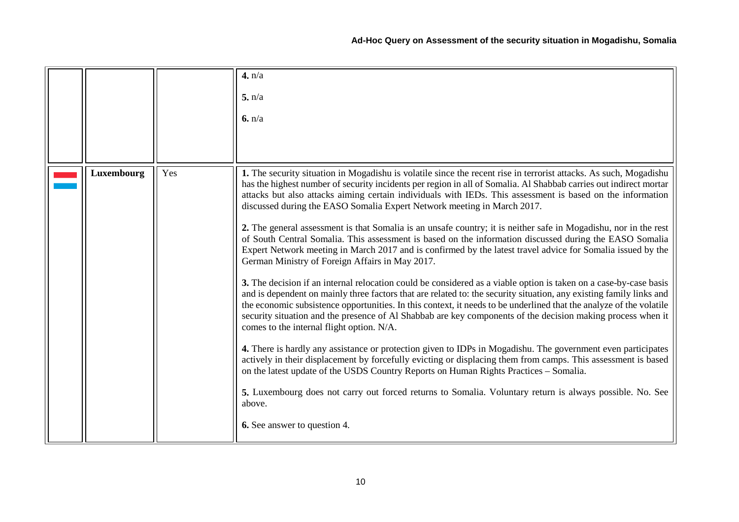|            |     | 4. n/a<br>5. n/a<br>6. n/a                                                                                                                                                                                                                                                                                                                                                                                                                                                                                                                                                                                                                                                                                                                                                                                                                                                                                                                                                                                                                                                                                                                                                                                                                                                                                                                                                                                                                                                                                                                                                                                                                                                                                                                                                                                                                             |
|------------|-----|--------------------------------------------------------------------------------------------------------------------------------------------------------------------------------------------------------------------------------------------------------------------------------------------------------------------------------------------------------------------------------------------------------------------------------------------------------------------------------------------------------------------------------------------------------------------------------------------------------------------------------------------------------------------------------------------------------------------------------------------------------------------------------------------------------------------------------------------------------------------------------------------------------------------------------------------------------------------------------------------------------------------------------------------------------------------------------------------------------------------------------------------------------------------------------------------------------------------------------------------------------------------------------------------------------------------------------------------------------------------------------------------------------------------------------------------------------------------------------------------------------------------------------------------------------------------------------------------------------------------------------------------------------------------------------------------------------------------------------------------------------------------------------------------------------------------------------------------------------|
| Luxembourg | Yes | 1. The security situation in Mogadishu is volatile since the recent rise in terrorist attacks. As such, Mogadishu<br>has the highest number of security incidents per region in all of Somalia. Al Shabbab carries out indirect mortar<br>attacks but also attacks aiming certain individuals with IEDs. This assessment is based on the information<br>discussed during the EASO Somalia Expert Network meeting in March 2017.<br>2. The general assessment is that Somalia is an unsafe country; it is neither safe in Mogadishu, nor in the rest<br>of South Central Somalia. This assessment is based on the information discussed during the EASO Somalia<br>Expert Network meeting in March 2017 and is confirmed by the latest travel advice for Somalia issued by the<br>German Ministry of Foreign Affairs in May 2017.<br>3. The decision if an internal relocation could be considered as a viable option is taken on a case-by-case basis<br>and is dependent on mainly three factors that are related to: the security situation, any existing family links and<br>the economic subsistence opportunities. In this context, it needs to be underlined that the analyze of the volatile<br>security situation and the presence of Al Shabbab are key components of the decision making process when it<br>comes to the internal flight option. N/A.<br>4. There is hardly any assistance or protection given to IDPs in Mogadishu. The government even participates<br>actively in their displacement by forcefully evicting or displacing them from camps. This assessment is based<br>on the latest update of the USDS Country Reports on Human Rights Practices - Somalia.<br>5. Luxembourg does not carry out forced returns to Somalia. Voluntary return is always possible. No. See<br>above.<br><b>6.</b> See answer to question 4. |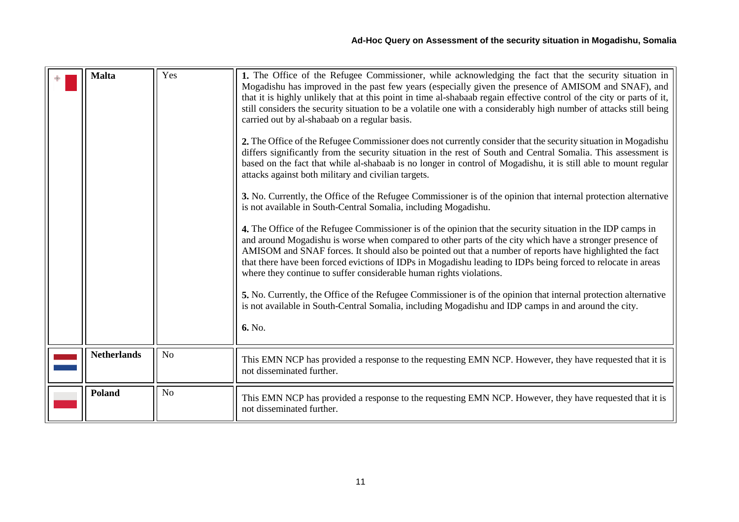<span id="page-10-2"></span><span id="page-10-1"></span><span id="page-10-0"></span>

| <b>Malta</b>       | Yes            | 1. The Office of the Refugee Commissioner, while acknowledging the fact that the security situation in<br>Mogadishu has improved in the past few years (especially given the presence of AMISOM and SNAF), and<br>that it is highly unlikely that at this point in time al-shabaab regain effective control of the city or parts of it,<br>still considers the security situation to be a volatile one with a considerably high number of attacks still being<br>carried out by al-shabaab on a regular basis.<br>2. The Office of the Refugee Commissioner does not currently consider that the security situation in Mogadishu<br>differs significantly from the security situation in the rest of South and Central Somalia. This assessment is<br>based on the fact that while al-shabaab is no longer in control of Mogadishu, it is still able to mount regular<br>attacks against both military and civilian targets.<br>3. No. Currently, the Office of the Refugee Commissioner is of the opinion that internal protection alternative<br>is not available in South-Central Somalia, including Mogadishu.<br>4. The Office of the Refugee Commissioner is of the opinion that the security situation in the IDP camps in<br>and around Mogadishu is worse when compared to other parts of the city which have a stronger presence of<br>AMISOM and SNAF forces. It should also be pointed out that a number of reports have highlighted the fact<br>that there have been forced evictions of IDPs in Mogadishu leading to IDPs being forced to relocate in areas<br>where they continue to suffer considerable human rights violations.<br>5. No. Currently, the Office of the Refugee Commissioner is of the opinion that internal protection alternative<br>is not available in South-Central Somalia, including Mogadishu and IDP camps in and around the city.<br>6. No. |
|--------------------|----------------|---------------------------------------------------------------------------------------------------------------------------------------------------------------------------------------------------------------------------------------------------------------------------------------------------------------------------------------------------------------------------------------------------------------------------------------------------------------------------------------------------------------------------------------------------------------------------------------------------------------------------------------------------------------------------------------------------------------------------------------------------------------------------------------------------------------------------------------------------------------------------------------------------------------------------------------------------------------------------------------------------------------------------------------------------------------------------------------------------------------------------------------------------------------------------------------------------------------------------------------------------------------------------------------------------------------------------------------------------------------------------------------------------------------------------------------------------------------------------------------------------------------------------------------------------------------------------------------------------------------------------------------------------------------------------------------------------------------------------------------------------------------------------------------------------------------------------------------------------------------------------------------|
| <b>Netherlands</b> | N <sub>o</sub> | This EMN NCP has provided a response to the requesting EMN NCP. However, they have requested that it is<br>not disseminated further.                                                                                                                                                                                                                                                                                                                                                                                                                                                                                                                                                                                                                                                                                                                                                                                                                                                                                                                                                                                                                                                                                                                                                                                                                                                                                                                                                                                                                                                                                                                                                                                                                                                                                                                                                  |
| Poland             | N <sub>o</sub> | This EMN NCP has provided a response to the requesting EMN NCP. However, they have requested that it is<br>not disseminated further.                                                                                                                                                                                                                                                                                                                                                                                                                                                                                                                                                                                                                                                                                                                                                                                                                                                                                                                                                                                                                                                                                                                                                                                                                                                                                                                                                                                                                                                                                                                                                                                                                                                                                                                                                  |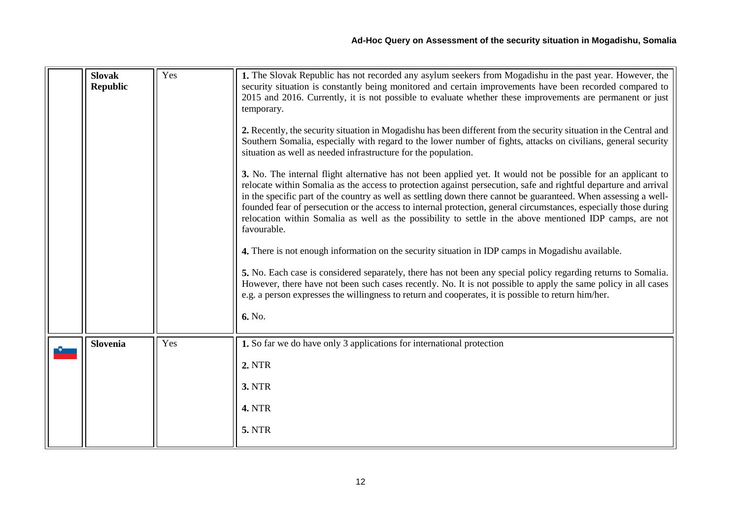<span id="page-11-0"></span>

| <b>Slovak</b><br><b>Republic</b> | Yes | 1. The Slovak Republic has not recorded any asylum seekers from Mogadishu in the past year. However, the<br>security situation is constantly being monitored and certain improvements have been recorded compared to<br>2015 and 2016. Currently, it is not possible to evaluate whether these improvements are permanent or just<br>temporary.<br>2. Recently, the security situation in Mogadishu has been different from the security situation in the Central and<br>Southern Somalia, especially with regard to the lower number of fights, attacks on civilians, general security<br>situation as well as needed infrastructure for the population.<br>3. No. The internal flight alternative has not been applied yet. It would not be possible for an applicant to<br>relocate within Somalia as the access to protection against persecution, safe and rightful departure and arrival<br>in the specific part of the country as well as settling down there cannot be guaranteed. When assessing a well-<br>founded fear of persecution or the access to internal protection, general circumstances, especially those during<br>relocation within Somalia as well as the possibility to settle in the above mentioned IDP camps, are not<br>favourable.<br>4. There is not enough information on the security situation in IDP camps in Mogadishu available.<br>5. No. Each case is considered separately, there has not been any special policy regarding returns to Somalia.<br>However, there have not been such cases recently. No. It is not possible to apply the same policy in all cases<br>e.g. a person expresses the willingness to return and cooperates, it is possible to return him/her.<br>6. No. |
|----------------------------------|-----|----------------------------------------------------------------------------------------------------------------------------------------------------------------------------------------------------------------------------------------------------------------------------------------------------------------------------------------------------------------------------------------------------------------------------------------------------------------------------------------------------------------------------------------------------------------------------------------------------------------------------------------------------------------------------------------------------------------------------------------------------------------------------------------------------------------------------------------------------------------------------------------------------------------------------------------------------------------------------------------------------------------------------------------------------------------------------------------------------------------------------------------------------------------------------------------------------------------------------------------------------------------------------------------------------------------------------------------------------------------------------------------------------------------------------------------------------------------------------------------------------------------------------------------------------------------------------------------------------------------------------------------------------------------------------------------------------------------------------|
| <b>Slovenia</b>                  | Yes | 1. So far we do have only 3 applications for international protection<br><b>2. NTR</b><br><b>3. NTR</b><br><b>4. NTR</b><br><b>5. NTR</b>                                                                                                                                                                                                                                                                                                                                                                                                                                                                                                                                                                                                                                                                                                                                                                                                                                                                                                                                                                                                                                                                                                                                                                                                                                                                                                                                                                                                                                                                                                                                                                                  |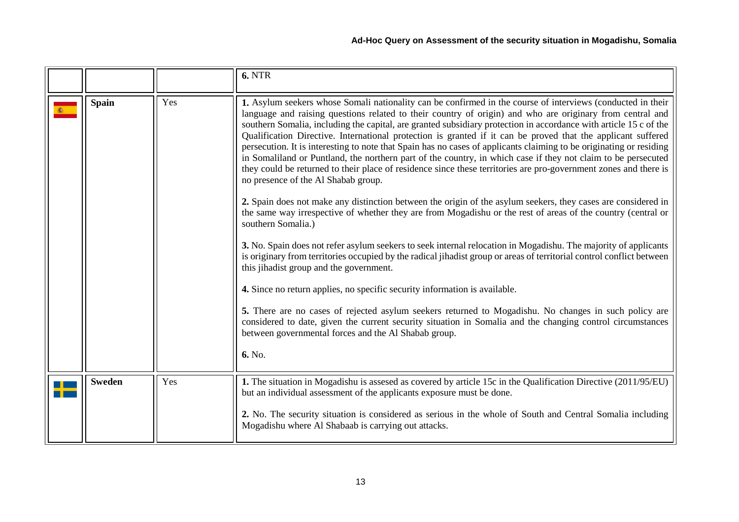<span id="page-12-0"></span>

|               |     | <b>6. NTR</b>                                                                                                                                                                                                                                                                                                                                                                                                                                                                                                                                                                                                                                                                                                                                                                                                                                                                                                                                                                                                                                                                                                                                                                                                                                                                                                                                                                                                                                                                                                                                                                                                                                                                                                                                                               |
|---------------|-----|-----------------------------------------------------------------------------------------------------------------------------------------------------------------------------------------------------------------------------------------------------------------------------------------------------------------------------------------------------------------------------------------------------------------------------------------------------------------------------------------------------------------------------------------------------------------------------------------------------------------------------------------------------------------------------------------------------------------------------------------------------------------------------------------------------------------------------------------------------------------------------------------------------------------------------------------------------------------------------------------------------------------------------------------------------------------------------------------------------------------------------------------------------------------------------------------------------------------------------------------------------------------------------------------------------------------------------------------------------------------------------------------------------------------------------------------------------------------------------------------------------------------------------------------------------------------------------------------------------------------------------------------------------------------------------------------------------------------------------------------------------------------------------|
| <b>Spain</b>  | Yes | 1. Asylum seekers whose Somali nationality can be confirmed in the course of interviews (conducted in their<br>language and raising questions related to their country of origin) and who are originary from central and<br>southern Somalia, including the capital, are granted subsidiary protection in accordance with article 15 c of the<br>Qualification Directive. International protection is granted if it can be proved that the applicant suffered<br>persecution. It is interesting to note that Spain has no cases of applicants claiming to be originating or residing<br>in Somaliland or Puntland, the northern part of the country, in which case if they not claim to be persecuted<br>they could be returned to their place of residence since these territories are pro-government zones and there is<br>no presence of the Al Shabab group.<br>2. Spain does not make any distinction between the origin of the asylum seekers, they cases are considered in<br>the same way irrespective of whether they are from Mogadishu or the rest of areas of the country (central or<br>southern Somalia.)<br>3. No. Spain does not refer asylum seekers to seek internal relocation in Mogadishu. The majority of applicants<br>is originary from territories occupied by the radical jihadist group or areas of territorial control conflict between<br>this jihadist group and the government.<br>4. Since no return applies, no specific security information is available.<br>5. There are no cases of rejected asylum seekers returned to Mogadishu. No changes in such policy are<br>considered to date, given the current security situation in Somalia and the changing control circumstances<br>between governmental forces and the Al Shabab group. |
|               |     | 6. No.                                                                                                                                                                                                                                                                                                                                                                                                                                                                                                                                                                                                                                                                                                                                                                                                                                                                                                                                                                                                                                                                                                                                                                                                                                                                                                                                                                                                                                                                                                                                                                                                                                                                                                                                                                      |
| <b>Sweden</b> | Yes | 1. The situation in Mogadishu is assesed as covered by article 15c in the Qualification Directive (2011/95/EU)<br>but an individual assessment of the applicants exposure must be done.<br>2. No. The security situation is considered as serious in the whole of South and Central Somalia including                                                                                                                                                                                                                                                                                                                                                                                                                                                                                                                                                                                                                                                                                                                                                                                                                                                                                                                                                                                                                                                                                                                                                                                                                                                                                                                                                                                                                                                                       |
|               |     | Mogadishu where Al Shabaab is carrying out attacks.                                                                                                                                                                                                                                                                                                                                                                                                                                                                                                                                                                                                                                                                                                                                                                                                                                                                                                                                                                                                                                                                                                                                                                                                                                                                                                                                                                                                                                                                                                                                                                                                                                                                                                                         |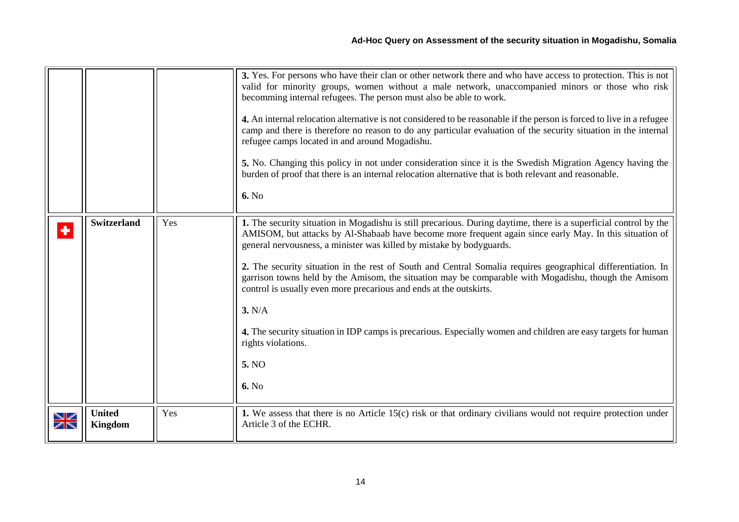<span id="page-13-1"></span><span id="page-13-0"></span>

|                               |                                 |     | 3. Yes. For persons who have their clan or other network there and who have access to protection. This is not<br>valid for minority groups, women without a male network, unaccompanied minors or those who risk<br>becomming internal refugees. The person must also be able to work.<br>4. An internal relocation alternative is not considered to be reasonable if the person is forced to live in a refugee<br>camp and there is therefore no reason to do any particular evaluation of the security situation in the internal<br>refugee camps located in and around Mogadishu.<br>5. No. Changing this policy in not under consideration since it is the Swedish Migration Agency having the<br>burden of proof that there is an internal relocation alternative that is both relevant and reasonable.<br>6. No |
|-------------------------------|---------------------------------|-----|-----------------------------------------------------------------------------------------------------------------------------------------------------------------------------------------------------------------------------------------------------------------------------------------------------------------------------------------------------------------------------------------------------------------------------------------------------------------------------------------------------------------------------------------------------------------------------------------------------------------------------------------------------------------------------------------------------------------------------------------------------------------------------------------------------------------------|
| ٠                             | <b>Switzerland</b>              | Yes | 1. The security situation in Mogadishu is still precarious. During daytime, there is a superficial control by the<br>AMISOM, but attacks by Al-Shabaab have become more frequent again since early May. In this situation of<br>general nervousness, a minister was killed by mistake by bodyguards.<br>2. The security situation in the rest of South and Central Somalia requires geographical differentiation. In<br>garrison towns held by the Amisom, the situation may be comparable with Mogadishu, though the Amisom<br>control is usually even more precarious and ends at the outskirts.<br>3. N/A<br>4. The security situation in IDP camps is precarious. Especially women and children are easy targets for human<br>rights violations.<br>5. NO<br>6. No                                                |
| ↘∠<br>$\overline{\mathbb{Z}}$ | <b>United</b><br><b>Kingdom</b> | Yes | 1. We assess that there is no Article $15(c)$ risk or that ordinary civilians would not require protection under<br>Article 3 of the ECHR.                                                                                                                                                                                                                                                                                                                                                                                                                                                                                                                                                                                                                                                                            |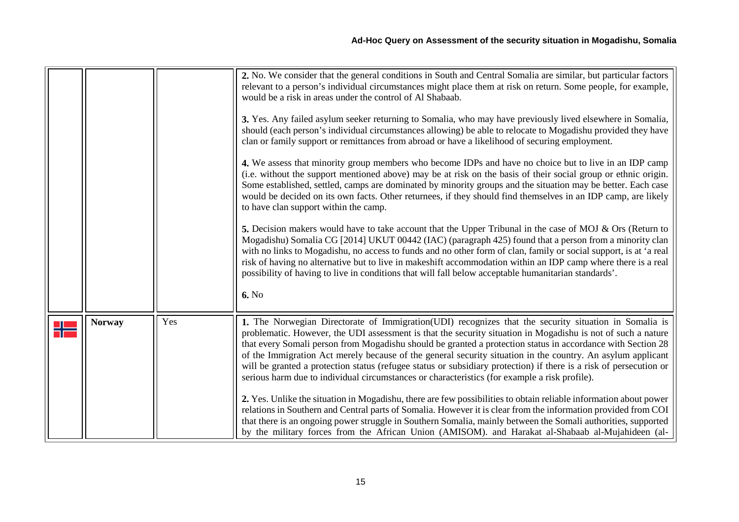|               |     | 2. No. We consider that the general conditions in South and Central Somalia are similar, but particular factors<br>relevant to a person's individual circumstances might place them at risk on return. Some people, for example,<br>would be a risk in areas under the control of Al Shabaab.<br>3. Yes. Any failed asylum seeker returning to Somalia, who may have previously lived elsewhere in Somalia,<br>should (each person's individual circumstances allowing) be able to relocate to Mogadishu provided they have<br>clan or family support or remittances from abroad or have a likelihood of securing employment.<br>4. We assess that minority group members who become IDPs and have no choice but to live in an IDP camp<br>(i.e. without the support mentioned above) may be at risk on the basis of their social group or ethnic origin.<br>Some established, settled, camps are dominated by minority groups and the situation may be better. Each case<br>would be decided on its own facts. Other returnees, if they should find themselves in an IDP camp, are likely<br>to have clan support within the camp.<br>5. Decision makers would have to take account that the Upper Tribunal in the case of MOJ $\&$ Ors (Return to<br>Mogadishu) Somalia CG [2014] UKUT 00442 (IAC) (paragraph 425) found that a person from a minority clan<br>with no links to Mogadishu, no access to funds and no other form of clan, family or social support, is at 'a real<br>risk of having no alternative but to live in makeshift accommodation within an IDP camp where there is a real<br>possibility of having to live in conditions that will fall below acceptable humanitarian standards'.<br>6. No |
|---------------|-----|----------------------------------------------------------------------------------------------------------------------------------------------------------------------------------------------------------------------------------------------------------------------------------------------------------------------------------------------------------------------------------------------------------------------------------------------------------------------------------------------------------------------------------------------------------------------------------------------------------------------------------------------------------------------------------------------------------------------------------------------------------------------------------------------------------------------------------------------------------------------------------------------------------------------------------------------------------------------------------------------------------------------------------------------------------------------------------------------------------------------------------------------------------------------------------------------------------------------------------------------------------------------------------------------------------------------------------------------------------------------------------------------------------------------------------------------------------------------------------------------------------------------------------------------------------------------------------------------------------------------------------------------------------------------------------------------------------------------|
|               |     |                                                                                                                                                                                                                                                                                                                                                                                                                                                                                                                                                                                                                                                                                                                                                                                                                                                                                                                                                                                                                                                                                                                                                                                                                                                                                                                                                                                                                                                                                                                                                                                                                                                                                                                      |
| <b>Norway</b> | Yes | 1. The Norwegian Directorate of Immigration (UDI) recognizes that the security situation in Somalia is<br>problematic. However, the UDI assessment is that the security situation in Mogadishu is not of such a nature<br>that every Somali person from Mogadishu should be granted a protection status in accordance with Section 28<br>of the Immigration Act merely because of the general security situation in the country. An asylum applicant<br>will be granted a protection status (refugee status or subsidiary protection) if there is a risk of persecution or<br>serious harm due to individual circumstances or characteristics (for example a risk profile).<br>2. Yes. Unlike the situation in Mogadishu, there are few possibilities to obtain reliable information about power<br>relations in Southern and Central parts of Somalia. However it is clear from the information provided from COI<br>that there is an ongoing power struggle in Southern Somalia, mainly between the Somali authorities, supported<br>by the military forces from the African Union (AMISOM). and Harakat al-Shabaab al-Mujahideen (al-                                                                                                                                                                                                                                                                                                                                                                                                                                                                                                                                                                             |